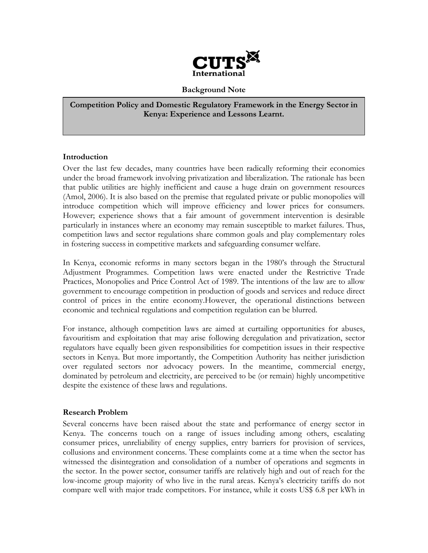

## Background Note

Competition Policy and Domestic Regulatory Framework in the Energy Sector in Kenya: Experience and Lessons Learnt.

## Introduction

Over the last few decades, many countries have been radically reforming their economies under the broad framework involving privatization and liberalization. The rationale has been that public utilities are highly inefficient and cause a huge drain on government resources (Amol, 2006). It is also based on the premise that regulated private or public monopolies will introduce competition which will improve efficiency and lower prices for consumers. However; experience shows that a fair amount of government intervention is desirable particularly in instances where an economy may remain susceptible to market failures. Thus, competition laws and sector regulations share common goals and play complementary roles in fostering success in competitive markets and safeguarding consumer welfare.

In Kenya, economic reforms in many sectors began in the 1980's through the Structural Adjustment Programmes. Competition laws were enacted under the Restrictive Trade Practices, Monopolies and Price Control Act of 1989. The intentions of the law are to allow government to encourage competition in production of goods and services and reduce direct control of prices in the entire economy.However, the operational distinctions between economic and technical regulations and competition regulation can be blurred.

For instance, although competition laws are aimed at curtailing opportunities for abuses, favouritism and exploitation that may arise following deregulation and privatization, sector regulators have equally been given responsibilities for competition issues in their respective sectors in Kenya. But more importantly, the Competition Authority has neither jurisdiction over regulated sectors nor advocacy powers. In the meantime, commercial energy, dominated by petroleum and electricity, are perceived to be (or remain) highly uncompetitive despite the existence of these laws and regulations.

## Research Problem

Several concerns have been raised about the state and performance of energy sector in Kenya. The concerns touch on a range of issues including among others, escalating consumer prices, unreliability of energy supplies, entry barriers for provision of services, collusions and environment concerns. These complaints come at a time when the sector has witnessed the disintegration and consolidation of a number of operations and segments in the sector. In the power sector, consumer tariffs are relatively high and out of reach for the low-income group majority of who live in the rural areas. Kenya's electricity tariffs do not compare well with major trade competitors. For instance, while it costs US\$ 6.8 per kWh in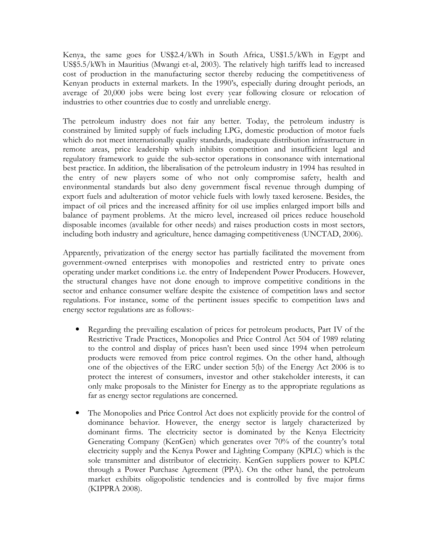Kenya, the same goes for US\$2.4/kWh in South Africa, US\$1.5/kWh in Egypt and US\$5.5/kWh in Mauritius (Mwangi et-al, 2003). The relatively high tariffs lead to increased cost of production in the manufacturing sector thereby reducing the competitiveness of Kenyan products in external markets. In the 1990's, especially during drought periods, an average of 20,000 jobs were being lost every year following closure or relocation of industries to other countries due to costly and unreliable energy.

The petroleum industry does not fair any better. Today, the petroleum industry is constrained by limited supply of fuels including LPG, domestic production of motor fuels which do not meet internationally quality standards, inadequate distribution infrastructure in remote areas, price leadership which inhibits competition and insufficient legal and regulatory framework to guide the sub-sector operations in consonance with international best practice. In addition, the liberalisation of the petroleum industry in 1994 has resulted in the entry of new players some of who not only compromise safety, health and environmental standards but also deny government fiscal revenue through dumping of export fuels and adulteration of motor vehicle fuels with lowly taxed kerosene. Besides, the impact of oil prices and the increased affinity for oil use implies enlarged import bills and balance of payment problems. At the micro level, increased oil prices reduce household disposable incomes (available for other needs) and raises production costs in most sectors, including both industry and agriculture, hence damaging competitiveness (UNCTAD, 2006).

Apparently, privatization of the energy sector has partially facilitated the movement from government-owned enterprises with monopolies and restricted entry to private ones operating under market conditions i.e. the entry of Independent Power Producers. However, the structural changes have not done enough to improve competitive conditions in the sector and enhance consumer welfare despite the existence of competition laws and sector regulations. For instance, some of the pertinent issues specific to competition laws and energy sector regulations are as follows:-

- Regarding the prevailing escalation of prices for petroleum products, Part IV of the Restrictive Trade Practices, Monopolies and Price Control Act 504 of 1989 relating to the control and display of prices hasn't been used since 1994 when petroleum products were removed from price control regimes. On the other hand, although one of the objectives of the ERC under section 5(b) of the Energy Act 2006 is to protect the interest of consumers, investor and other stakeholder interests, it can only make proposals to the Minister for Energy as to the appropriate regulations as far as energy sector regulations are concerned.
- The Monopolies and Price Control Act does not explicitly provide for the control of dominance behavior. However, the energy sector is largely characterized by dominant firms. The electricity sector is dominated by the Kenya Electricity Generating Company (KenGen) which generates over 70% of the country's total electricity supply and the Kenya Power and Lighting Company (KPLC) which is the sole transmitter and distributor of electricity. KenGen suppliers power to KPLC through a Power Purchase Agreement (PPA). On the other hand, the petroleum market exhibits oligopolistic tendencies and is controlled by five major firms (KIPPRA 2008).